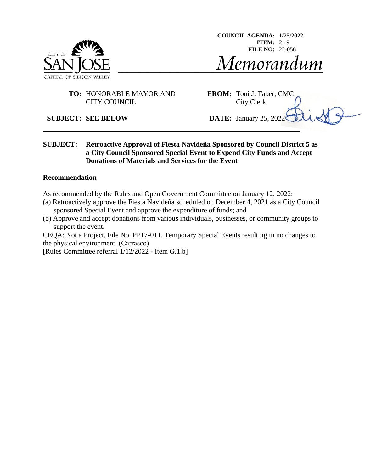

**COUNCIL AGENDA:** 1/25/2022 **ITEM:** 2.19 **FILE NO:** 22-056Memorandum

### **TO:** HONORABLE MAYOR AND **FROM:** Toni J. Taber, CMC CITY COUNCIL City Clerk

### **SUBJECT: SEE BELOW DATE:** January 25, 2022

### **SUBJECT: Retroactive Approval of Fiesta Navideña Sponsored by Council District 5 as a City Council Sponsored Special Event to Expend City Funds and Accept Donations of Materials and Services for the Event**

#### **Recommendation**

As recommended by the Rules and Open Government Committee on January 12, 2022:

- (a) Retroactively approve the Fiesta Navideña scheduled on December 4, 2021 as a City Council sponsored Special Event and approve the expenditure of funds; and
- (b) Approve and accept donations from various individuals, businesses, or community groups to support the event.

CEQA: Not a Project, File No. PP17-011, Temporary Special Events resulting in no changes to the physical environment. (Carrasco)

[Rules Committee referral 1/12/2022 - Item G.1.b]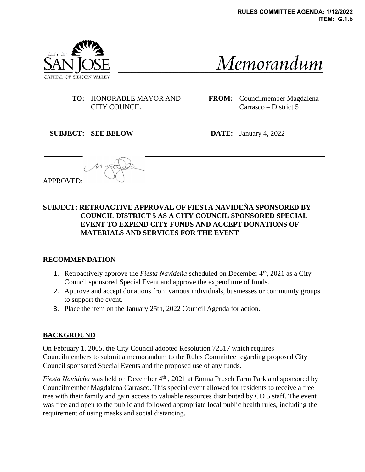

Memorandum

**TO:** HONORABLE MAYOR AND CITY COUNCIL

**FROM:** Councilmember Magdalena Carrasco – District 5

**SUBJECT: SEE BELOW DATE:** January 4, 2022

APPROVED:

# **SUBJECT: RETROACTIVE APPROVAL OF FIESTA NAVIDEÑA SPONSORED BY COUNCIL DISTRICT 5 AS A CITY COUNCIL SPONSORED SPECIAL EVENT TO EXPEND CITY FUNDS AND ACCEPT DONATIONS OF MATERIALS AND SERVICES FOR THE EVENT**

### **RECOMMENDATION**

- 1. Retroactively approve the *Fiesta Navideña* scheduled on December 4th, 2021 as a City Council sponsored Special Event and approve the expenditure of funds.
- 2. Approve and accept donations from various individuals, businesses or community groups to support the event.
- 3. Place the item on the January 25th, 2022 Council Agenda for action.

# **BACKGROUND**

On February 1, 2005, the City Council adopted Resolution 72517 which requires Councilmembers to submit a memorandum to the Rules Committee regarding proposed City Council sponsored Special Events and the proposed use of any funds.

*Fiesta Navideña* was held on December 4<sup>th</sup>, 2021 at Emma Prusch Farm Park and sponsored by Councilmember Magdalena Carrasco. This special event allowed for residents to receive a free tree with their family and gain access to valuable resources distributed by CD 5 staff. The event was free and open to the public and followed appropriate local public health rules, including the requirement of using masks and social distancing.